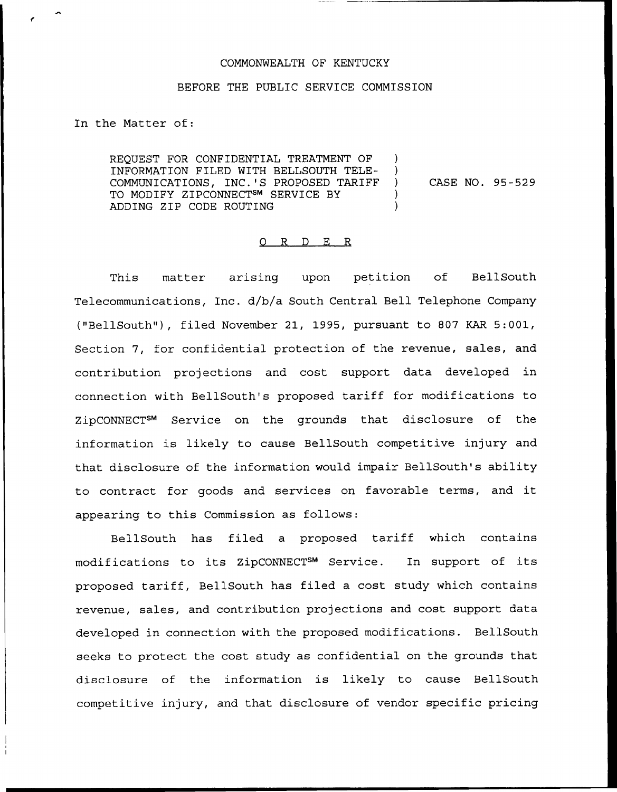## COMMONWEALTH OF KENTUCKY

## BEFORE THE PUBLIC SERVICE COMMISSION

## In the Matter of:

REQUEST FOR CONFIDENTIAL TREATMENT OF ) INFORMATION FILED WITH BELLSOUTH TELE- ) COMMUNICATIONS, INC.'S PROPOSED TARIFF ) TO MODIFY ZIPCONNECT<sup>SM</sup> SERVICE BY ADDING ZIP CODE ROUTING ) CASE NO. 95-529

## 0 R <sup>D</sup> E R

This matter arising upon petition of BellSouth Telecommunications, Inc. d/b/a South Central Bell Telephone Company ("BellSouth"), filed November 21, 1995, pursuant to 807 KAR 5:001, Section 7, for confidential protection of the revenue, sales, and contribution projections and cost support data developed in connection with BellSouth's proposed tariff for modifications to ZipCONNECT<sup>SM</sup> Service on the grounds that disclosure of the information is likely to cause BellSouth competitive injury and that disclosure of the information would impair BellSouth's ability to contract for goods and services on favorable terms, and it appearing to this Commission as follows:

BellSouth has filed a proposed tariff which contains modifications to its ZipCONNECT<sup>SM</sup> Service. In support of its proposed tariff, BellSouth has filed a cost study which contains revenue, sales, and contribution projections and cost support data developed in connection with the proposed modifications. BellSouth seeks to protect the cost study as confidential on the grounds that disclosure of the information is likely to cause BellSouth competitive injury, and that disclosure of vendor specific pricing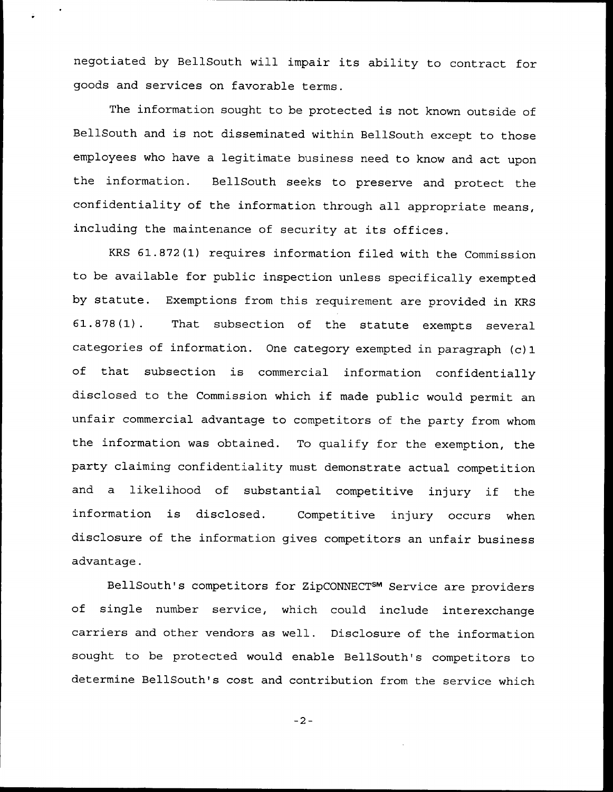negotiated by BellSouth will impair its ability to contract for goods and services on favorable terms.

The information sought to be protected is not known outside of BellSouth and is not disseminated within BellSouth except to those employees who have a legitimate business need to know and act upon the information. BellSouth seeks to preserve and protect the confidentiality of the information through all appropriate means, including the maintenance of security at its offices.

KRS 61.872(1) requires information filed with the Commission to be available for public inspection unless specifically exempted by statute. Exemptions from this requirement are provided in KRS 61.878(1). That subsection of the statute exempts several categories of information. One category exempted in paragraph (c)1 of that subsection is commercial information confidentially disclosed to the Commission which if made public would permit an unfair commercial advantage to competitors of the party from whom the information was obtained. To qualify for the exemption, the party claiming confidentiality must demonstrate actual competition and <sup>a</sup> likelihood of substantial competitive injury if the information is disclosed. Competitive injury occurs when disclosure of the information gives competitors an unfair business advantage.

BellSouth's competitors for ZipCONNECT<sup>sm</sup> Service are provider of single number service, which could include interexchange carriers and other vendors as well. Disclosure of the information sought to be protected would enable BellSouth's competitors to determine BellSouth's cost and contribution from the service which

 $-2-$